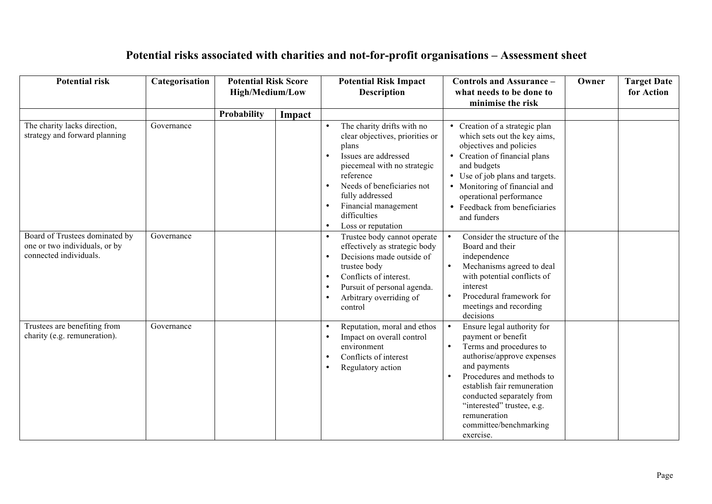## **Potential risks associated with charities and not-for-profit organisations – Assessment sheet**

| <b>Potential risk</b>                                                                     | Categorisation | <b>Potential Risk Score</b> |        | <b>Potential Risk Impact</b>                                                                                                                                                                                                                              | Controls and Assurance -                                                                                                                                                                                                                                                                                | Owner | <b>Target Date</b> |
|-------------------------------------------------------------------------------------------|----------------|-----------------------------|--------|-----------------------------------------------------------------------------------------------------------------------------------------------------------------------------------------------------------------------------------------------------------|---------------------------------------------------------------------------------------------------------------------------------------------------------------------------------------------------------------------------------------------------------------------------------------------------------|-------|--------------------|
|                                                                                           |                | High/Medium/Low             |        | <b>Description</b>                                                                                                                                                                                                                                        | what needs to be done to                                                                                                                                                                                                                                                                                |       | for Action         |
|                                                                                           |                |                             |        |                                                                                                                                                                                                                                                           | minimise the risk                                                                                                                                                                                                                                                                                       |       |                    |
|                                                                                           |                | Probability                 | Impact |                                                                                                                                                                                                                                                           |                                                                                                                                                                                                                                                                                                         |       |                    |
| The charity lacks direction,<br>strategy and forward planning                             | Governance     |                             |        | The charity drifts with no<br>clear objectives, priorities or<br>plans<br>Issues are addressed<br>piecemeal with no strategic<br>reference<br>Needs of beneficiaries not<br>fully addressed<br>Financial management<br>difficulties<br>Loss or reputation | • Creation of a strategic plan<br>which sets out the key aims,<br>objectives and policies<br>• Creation of financial plans<br>and budgets<br>• Use of job plans and targets.<br>• Monitoring of financial and<br>operational performance<br>• Feedback from beneficiaries<br>and funders                |       |                    |
| Board of Trustees dominated by<br>one or two individuals, or by<br>connected individuals. | Governance     |                             |        | Trustee body cannot operate<br>effectively as strategic body<br>Decisions made outside of<br>trustee body<br>Conflicts of interest.<br>Pursuit of personal agenda.<br>Arbitrary overriding of<br>control                                                  | Consider the structure of the<br>Board and their<br>independence<br>Mechanisms agreed to deal<br>with potential conflicts of<br>interest<br>Procedural framework for<br>$\bullet$<br>meetings and recording<br>decisions                                                                                |       |                    |
| Trustees are benefiting from<br>charity (e.g. remuneration).                              | Governance     |                             |        | Reputation, moral and ethos<br>Impact on overall control<br>environment<br>Conflicts of interest<br>Regulatory action                                                                                                                                     | Ensure legal authority for<br>payment or benefit<br>Terms and procedures to<br>authorise/approve expenses<br>and payments<br>Procedures and methods to<br>establish fair remuneration<br>conducted separately from<br>"interested" trustee, e.g.<br>remuneration<br>committee/benchmarking<br>exercise. |       |                    |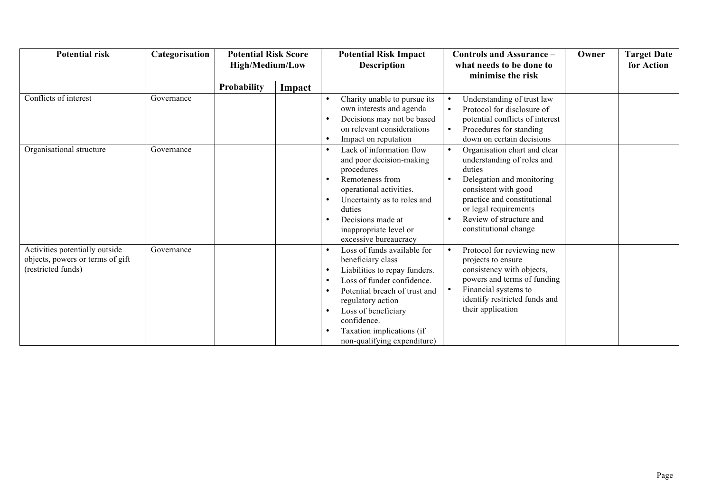| <b>Potential risk</b>                                                                    | Categorisation | <b>Potential Risk Score</b><br><b>High/Medium/Low</b> |        |                                                                                                                                                                                                                                                                         |                                                                                                                                                                                                                                       | <b>Potential Risk Impact</b><br><b>Description</b> | Controls and Assurance -<br>what needs to be done to<br>minimise the risk | Owner | <b>Target Date</b><br>for Action |
|------------------------------------------------------------------------------------------|----------------|-------------------------------------------------------|--------|-------------------------------------------------------------------------------------------------------------------------------------------------------------------------------------------------------------------------------------------------------------------------|---------------------------------------------------------------------------------------------------------------------------------------------------------------------------------------------------------------------------------------|----------------------------------------------------|---------------------------------------------------------------------------|-------|----------------------------------|
|                                                                                          |                | Probability                                           | Impact |                                                                                                                                                                                                                                                                         |                                                                                                                                                                                                                                       |                                                    |                                                                           |       |                                  |
| Conflicts of interest                                                                    | Governance     |                                                       |        | Charity unable to pursue its<br>own interests and agenda<br>Decisions may not be based<br>on relevant considerations<br>Impact on reputation                                                                                                                            | Understanding of trust law<br>Protocol for disclosure of<br>potential conflicts of interest<br>Procedures for standing<br>down on certain decisions                                                                                   |                                                    |                                                                           |       |                                  |
| Organisational structure                                                                 | Governance     |                                                       |        | Lack of information flow<br>and poor decision-making<br>procedures<br>Remoteness from<br>operational activities.<br>Uncertainty as to roles and<br>duties<br>Decisions made at<br>inappropriate level or<br>excessive bureaucracy                                       | Organisation chart and clear<br>understanding of roles and<br>duties<br>Delegation and monitoring<br>consistent with good<br>practice and constitutional<br>or legal requirements<br>Review of structure and<br>constitutional change |                                                    |                                                                           |       |                                  |
| Activities potentially outside<br>objects, powers or terms of gift<br>(restricted funds) | Governance     |                                                       |        | Loss of funds available for<br>beneficiary class<br>Liabilities to repay funders.<br>Loss of funder confidence.<br>Potential breach of trust and<br>regulatory action<br>Loss of beneficiary<br>confidence.<br>Taxation implications (if<br>non-qualifying expenditure) | Protocol for reviewing new<br>projects to ensure<br>consistency with objects,<br>powers and terms of funding<br>Financial systems to<br>identify restricted funds and<br>their application                                            |                                                    |                                                                           |       |                                  |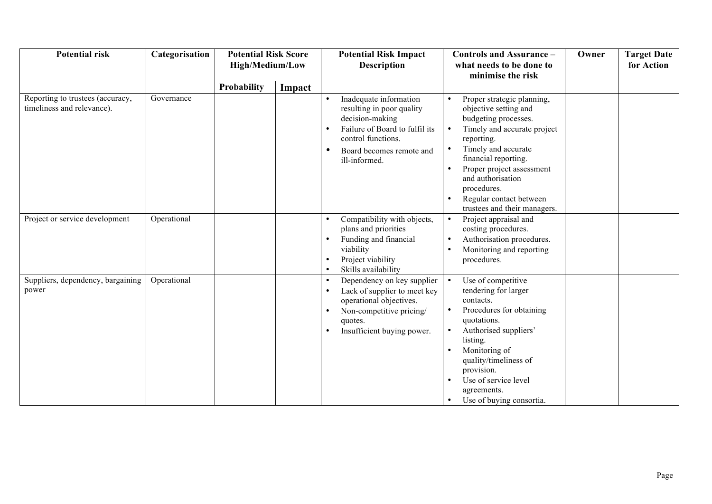| <b>Potential risk</b>                                          | Categorisation | <b>Potential Risk Score</b><br><b>High/Medium/Low</b> |        | <b>Potential Risk Impact</b><br><b>Description</b> |                                                                                                                                                                             | Controls and Assurance -<br>what needs to be done to<br>minimise the risk                                                                                                                                                                                                                                        | Owner | <b>Target Date</b><br>for Action |
|----------------------------------------------------------------|----------------|-------------------------------------------------------|--------|----------------------------------------------------|-----------------------------------------------------------------------------------------------------------------------------------------------------------------------------|------------------------------------------------------------------------------------------------------------------------------------------------------------------------------------------------------------------------------------------------------------------------------------------------------------------|-------|----------------------------------|
|                                                                |                | Probability                                           | Impact |                                                    |                                                                                                                                                                             |                                                                                                                                                                                                                                                                                                                  |       |                                  |
| Reporting to trustees (accuracy,<br>timeliness and relevance). | Governance     |                                                       |        | $\bullet$                                          | Inadequate information<br>resulting in poor quality<br>decision-making<br>Failure of Board to fulfil its<br>control functions.<br>Board becomes remote and<br>ill-informed. | Proper strategic planning,<br>objective setting and<br>budgeting processes.<br>Timely and accurate project<br>reporting.<br>Timely and accurate<br>financial reporting.<br>Proper project assessment<br>$\bullet$<br>and authorisation<br>procedures.<br>Regular contact between<br>trustees and their managers. |       |                                  |
| Project or service development                                 | Operational    |                                                       |        |                                                    | Compatibility with objects,<br>plans and priorities<br>Funding and financial<br>viability<br>Project viability<br>Skills availability                                       | Project appraisal and<br>costing procedures.<br>Authorisation procedures.<br>Monitoring and reporting<br>procedures.                                                                                                                                                                                             |       |                                  |
| Suppliers, dependency, bargaining<br>power                     | Operational    |                                                       |        | $\bullet$                                          | Dependency on key supplier<br>Lack of supplier to meet key<br>operational objectives.<br>Non-competitive pricing/<br>quotes.<br>Insufficient buying power.                  | Use of competitive<br>tendering for larger<br>contacts.<br>Procedures for obtaining<br>quotations.<br>Authorised suppliers'<br>listing.<br>Monitoring of<br>quality/timeliness of<br>provision.<br>Use of service level<br>agreements.<br>Use of buying consortia.                                               |       |                                  |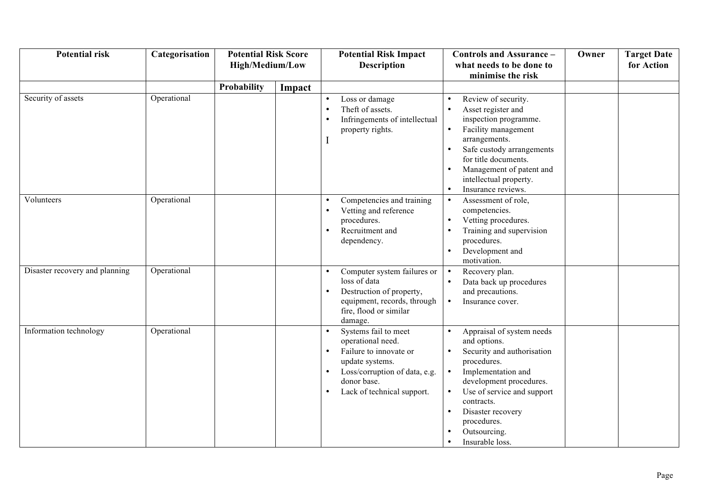| <b>Potential risk</b>          | Categorisation | <b>Potential Risk Score</b><br><b>High/Medium/Low</b> |        | <b>Potential Risk Impact</b><br><b>Description</b>                                                                                                                   | Controls and Assurance -<br>what needs to be done to                                                                                                                                                                                                                                            | Owner | <b>Target Date</b><br>for Action |
|--------------------------------|----------------|-------------------------------------------------------|--------|----------------------------------------------------------------------------------------------------------------------------------------------------------------------|-------------------------------------------------------------------------------------------------------------------------------------------------------------------------------------------------------------------------------------------------------------------------------------------------|-------|----------------------------------|
|                                |                |                                                       |        |                                                                                                                                                                      | minimise the risk                                                                                                                                                                                                                                                                               |       |                                  |
|                                |                | Probability                                           | Impact |                                                                                                                                                                      |                                                                                                                                                                                                                                                                                                 |       |                                  |
| Security of assets             | Operational    |                                                       |        | Loss or damage<br>Theft of assets.<br>Infringements of intellectual<br>property rights.                                                                              | Review of security.<br>Asset register and<br>$\bullet$<br>inspection programme.<br>Facility management<br>$\bullet$<br>arrangements.<br>Safe custody arrangements<br>for title documents.<br>Management of patent and<br>$\bullet$<br>intellectual property.<br>Insurance reviews.<br>$\bullet$ |       |                                  |
| Volunteers                     | Operational    |                                                       |        | Competencies and training<br>Vetting and reference<br>procedures.<br>Recruitment and<br>dependency.                                                                  | Assessment of role,<br>$\bullet$<br>competencies.<br>Vetting procedures.<br>$\bullet$<br>Training and supervision<br>procedures.<br>Development and<br>motivation.                                                                                                                              |       |                                  |
| Disaster recovery and planning | Operational    |                                                       |        | Computer system failures or<br>loss of data<br>Destruction of property,<br>equipment, records, through<br>fire, flood or similar<br>damage.                          | Recovery plan.<br>Data back up procedures<br>$\bullet$<br>and precautions.<br>$\bullet$<br>Insurance cover.                                                                                                                                                                                     |       |                                  |
| Information technology         | Operational    |                                                       |        | Systems fail to meet<br>operational need.<br>Failure to innovate or<br>update systems.<br>Loss/corruption of data, e.g.<br>donor base.<br>Lack of technical support. | Appraisal of system needs<br>and options.<br>Security and authorisation<br>procedures.<br>Implementation and<br>development procedures.<br>Use of service and support<br>contracts.<br>Disaster recovery<br>procedures.<br>Outsourcing.<br>Insurable loss.<br>$\bullet$                         |       |                                  |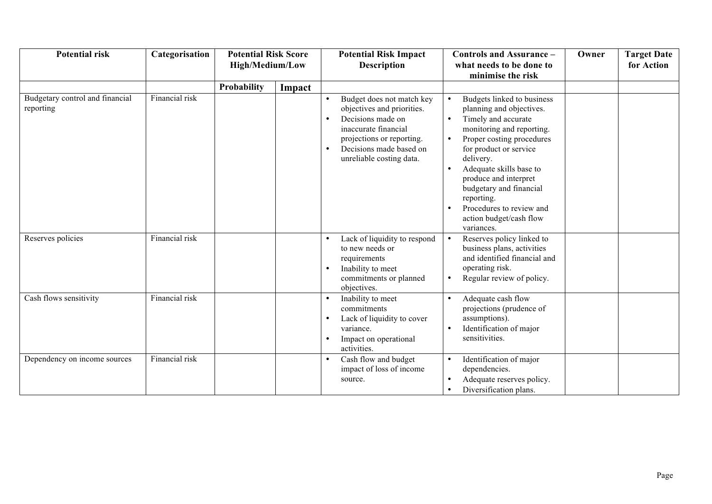| <b>Potential risk</b>                        | Categorisation | <b>Potential Risk Score</b><br><b>High/Medium/Low</b> |        |                                                                                                                                                                                          |                                                                                                                                                                                                                                                                                                                                                               | <b>Potential Risk Impact</b><br><b>Description</b> | Controls and Assurance -<br>what needs to be done to | Owner | <b>Target Date</b><br>for Action |
|----------------------------------------------|----------------|-------------------------------------------------------|--------|------------------------------------------------------------------------------------------------------------------------------------------------------------------------------------------|---------------------------------------------------------------------------------------------------------------------------------------------------------------------------------------------------------------------------------------------------------------------------------------------------------------------------------------------------------------|----------------------------------------------------|------------------------------------------------------|-------|----------------------------------|
|                                              |                |                                                       |        |                                                                                                                                                                                          | minimise the risk                                                                                                                                                                                                                                                                                                                                             |                                                    |                                                      |       |                                  |
|                                              |                | Probability                                           | Impact |                                                                                                                                                                                          |                                                                                                                                                                                                                                                                                                                                                               |                                                    |                                                      |       |                                  |
| Budgetary control and financial<br>reporting | Financial risk |                                                       |        | Budget does not match key<br>objectives and priorities.<br>Decisions made on<br>inaccurate financial<br>projections or reporting.<br>Decisions made based on<br>unreliable costing data. | Budgets linked to business<br>planning and objectives.<br>Timely and accurate<br>$\bullet$<br>monitoring and reporting.<br>Proper costing procedures<br>for product or service<br>delivery.<br>Adequate skills base to<br>produce and interpret<br>budgetary and financial<br>reporting.<br>Procedures to review and<br>action budget/cash flow<br>variances. |                                                    |                                                      |       |                                  |
| Reserves policies                            | Financial risk |                                                       |        | Lack of liquidity to respond<br>to new needs or<br>requirements<br>Inability to meet<br>commitments or planned<br>objectives.                                                            | Reserves policy linked to<br>business plans, activities<br>and identified financial and<br>operating risk.<br>Regular review of policy.                                                                                                                                                                                                                       |                                                    |                                                      |       |                                  |
| Cash flows sensitivity                       | Financial risk |                                                       |        | Inability to meet<br>commitments<br>Lack of liquidity to cover<br>variance.<br>Impact on operational<br>activities.                                                                      | Adequate cash flow<br>projections (prudence of<br>assumptions).<br>Identification of major<br>sensitivities.                                                                                                                                                                                                                                                  |                                                    |                                                      |       |                                  |
| Dependency on income sources                 | Financial risk |                                                       |        | Cash flow and budget<br>impact of loss of income<br>source.                                                                                                                              | Identification of major<br>dependencies.<br>Adequate reserves policy.<br>$\bullet$<br>Diversification plans.                                                                                                                                                                                                                                                  |                                                    |                                                      |       |                                  |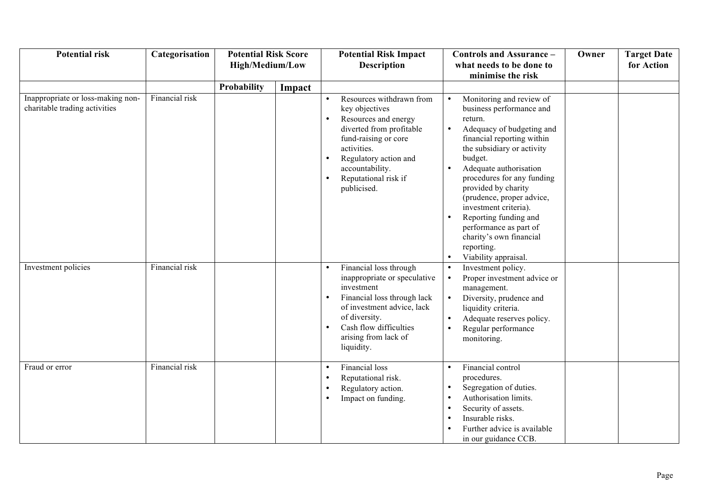| <b>Potential risk</b>                                              | Categorisation | <b>Potential Risk Score</b><br><b>High/Medium/Low</b> |        | <b>Potential Risk Impact</b><br><b>Description</b>                                                                                                                                                                       |                                                                                                                                                                                                                                                                                                                                                                                                                                           | Owner | <b>Target Date</b><br>for Action |
|--------------------------------------------------------------------|----------------|-------------------------------------------------------|--------|--------------------------------------------------------------------------------------------------------------------------------------------------------------------------------------------------------------------------|-------------------------------------------------------------------------------------------------------------------------------------------------------------------------------------------------------------------------------------------------------------------------------------------------------------------------------------------------------------------------------------------------------------------------------------------|-------|----------------------------------|
|                                                                    |                | Probability                                           | Impact |                                                                                                                                                                                                                          | minimise the risk                                                                                                                                                                                                                                                                                                                                                                                                                         |       |                                  |
| Inappropriate or loss-making non-<br>charitable trading activities | Financial risk |                                                       |        | Resources withdrawn from<br>key objectives<br>Resources and energy<br>diverted from profitable<br>fund-raising or core<br>activities.<br>Regulatory action and<br>accountability.<br>Reputational risk if<br>publicised. | Monitoring and review of<br>business performance and<br>return.<br>Adequacy of budgeting and<br>$\bullet$<br>financial reporting within<br>the subsidiary or activity<br>budget.<br>Adequate authorisation<br>procedures for any funding<br>provided by charity<br>(prudence, proper advice,<br>investment criteria).<br>Reporting funding and<br>performance as part of<br>charity's own financial<br>reporting.<br>Viability appraisal. |       |                                  |
| Investment policies                                                | Financial risk |                                                       |        | Financial loss through<br>inappropriate or speculative<br>investment<br>Financial loss through lack<br>of investment advice, lack<br>of diversity.<br>Cash flow difficulties<br>arising from lack of<br>liquidity.       | Investment policy.<br>Proper investment advice or<br>management.<br>Diversity, prudence and<br>liquidity criteria.<br>Adequate reserves policy.<br>Regular performance<br>monitoring.                                                                                                                                                                                                                                                     |       |                                  |
| Fraud or error                                                     | Financial risk |                                                       |        | Financial loss<br>Reputational risk.<br>Regulatory action.<br>Impact on funding.                                                                                                                                         | Financial control<br>procedures.<br>Segregation of duties.<br>$\bullet$<br>Authorisation limits.<br>$\bullet$<br>Security of assets.<br>Insurable risks.<br>Further advice is available<br>in our guidance CCB.                                                                                                                                                                                                                           |       |                                  |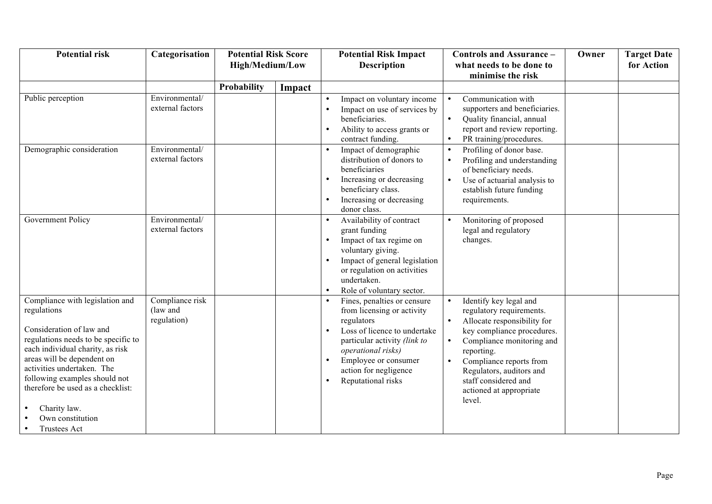| <b>Potential risk</b>                                                                                                                                                                                                                                                                                                                              | Categorisation                             | <b>Potential Risk Score</b><br><b>High/Medium/Low</b> |        | <b>Potential Risk Impact</b><br><b>Description</b>                                                                                                                                                                                   | Controls and Assurance -<br>what needs to be done to                                                                                                                                                                                                                                        | Owner | <b>Target Date</b><br>for Action |
|----------------------------------------------------------------------------------------------------------------------------------------------------------------------------------------------------------------------------------------------------------------------------------------------------------------------------------------------------|--------------------------------------------|-------------------------------------------------------|--------|--------------------------------------------------------------------------------------------------------------------------------------------------------------------------------------------------------------------------------------|---------------------------------------------------------------------------------------------------------------------------------------------------------------------------------------------------------------------------------------------------------------------------------------------|-------|----------------------------------|
|                                                                                                                                                                                                                                                                                                                                                    |                                            |                                                       |        |                                                                                                                                                                                                                                      | minimise the risk                                                                                                                                                                                                                                                                           |       |                                  |
|                                                                                                                                                                                                                                                                                                                                                    |                                            | Probability                                           | Impact |                                                                                                                                                                                                                                      |                                                                                                                                                                                                                                                                                             |       |                                  |
| Public perception                                                                                                                                                                                                                                                                                                                                  | Environmental/<br>external factors         |                                                       |        | Impact on voluntary income<br>Impact on use of services by<br>beneficiaries.<br>Ability to access grants or<br>contract funding.                                                                                                     | Communication with<br>supporters and beneficiaries.<br>Quality financial, annual<br>$\bullet$<br>report and review reporting.<br>PR training/procedures.                                                                                                                                    |       |                                  |
| Demographic consideration                                                                                                                                                                                                                                                                                                                          | Environmental/<br>external factors         |                                                       |        | Impact of demographic<br>distribution of donors to<br>beneficiaries<br>Increasing or decreasing<br>beneficiary class.<br>Increasing or decreasing<br>donor class.                                                                    | Profiling of donor base.<br>$\bullet$<br>Profiling and understanding<br>$\bullet$<br>of beneficiary needs.<br>Use of actuarial analysis to<br>$\bullet$<br>establish future funding<br>requirements.                                                                                        |       |                                  |
| Government Policy                                                                                                                                                                                                                                                                                                                                  | Environmental/<br>external factors         |                                                       |        | Availability of contract<br>grant funding<br>Impact of tax regime on<br>voluntary giving.<br>Impact of general legislation<br>or regulation on activities<br>undertaken.<br>Role of voluntary sector.                                | Monitoring of proposed<br>legal and regulatory<br>changes.                                                                                                                                                                                                                                  |       |                                  |
| Compliance with legislation and<br>regulations<br>Consideration of law and<br>regulations needs to be specific to<br>each individual charity, as risk<br>areas will be dependent on<br>activities undertaken. The<br>following examples should not<br>therefore be used as a checklist:<br>Charity law.<br>Own constitution<br><b>Trustees Act</b> | Compliance risk<br>(law and<br>regulation) |                                                       |        | Fines, penalties or censure<br>from licensing or activity<br>regulators<br>Loss of licence to undertake<br>particular activity (link to<br>operational risks)<br>Employee or consumer<br>action for negligence<br>Reputational risks | Identify key legal and<br>regulatory requirements.<br>Allocate responsibility for<br>key compliance procedures.<br>Compliance monitoring and<br>$\bullet$<br>reporting.<br>Compliance reports from<br>Regulators, auditors and<br>staff considered and<br>actioned at appropriate<br>level. |       |                                  |